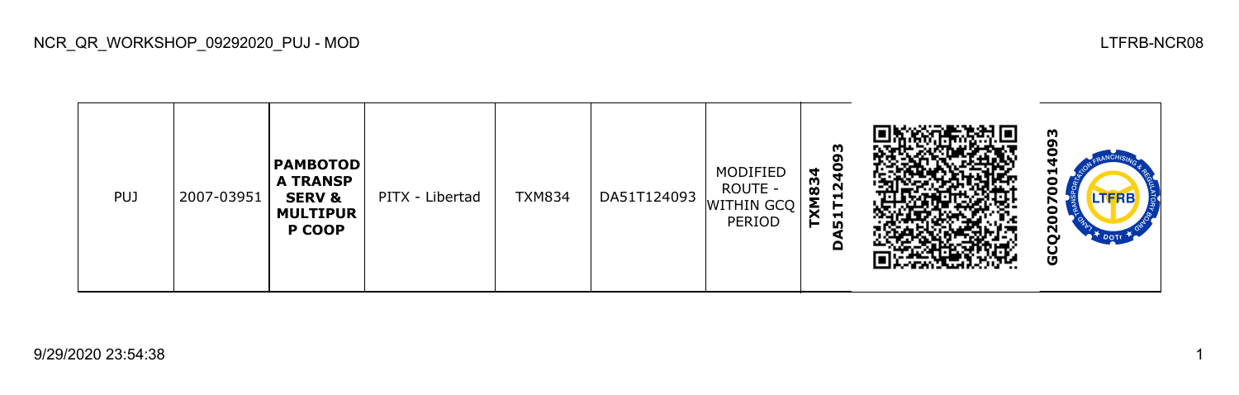

9/29/2020 23:54:38 1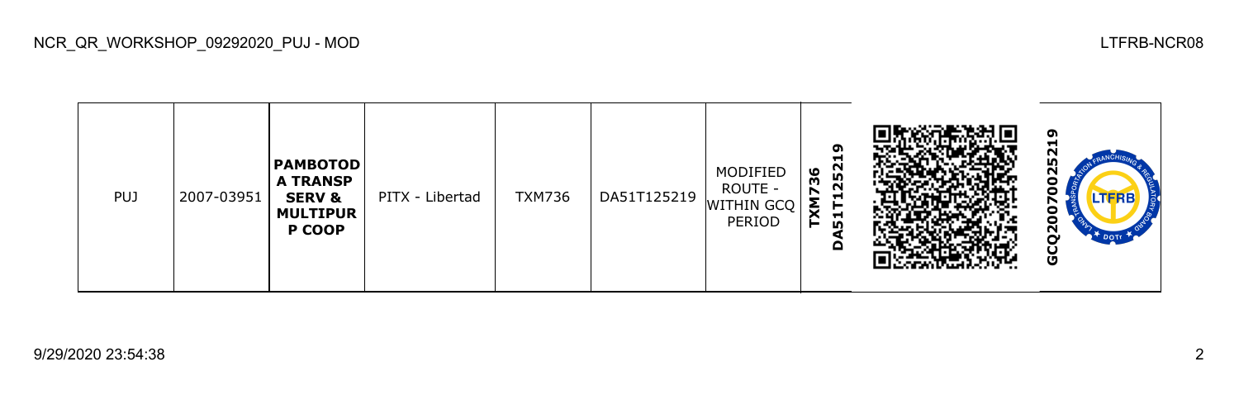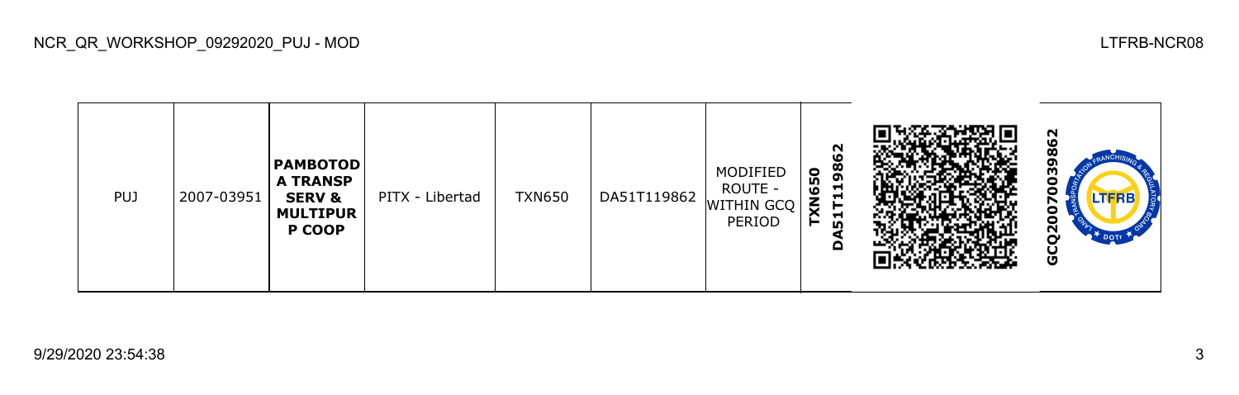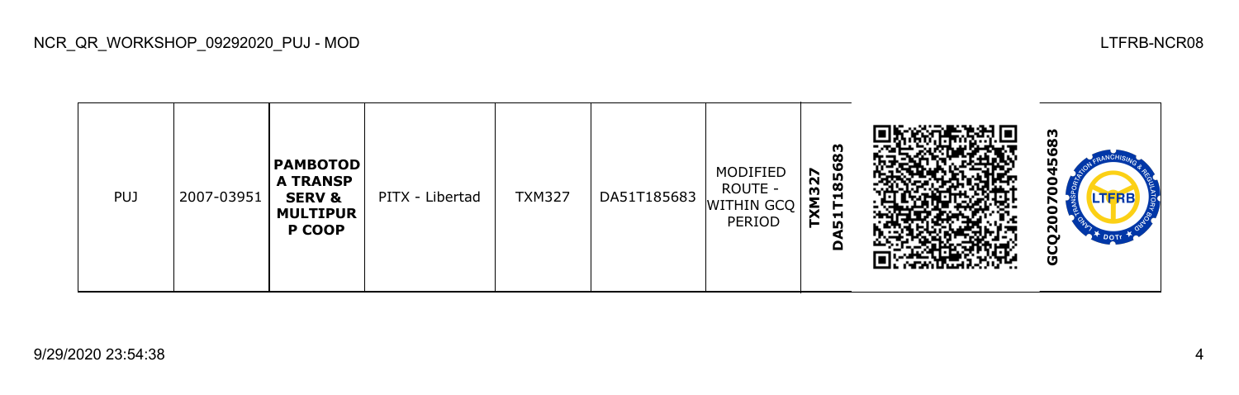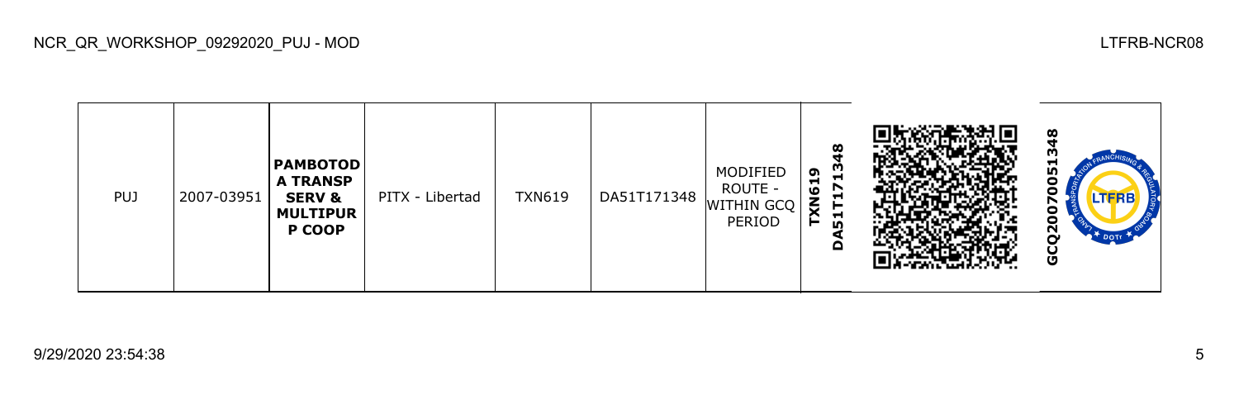**GCQ20070051348PAMBOTOD** MODIFIED **TXN619** ю **A TRANSP**  0 **DA51T171** ROUTE - 0 PUJ 2007-03951 PITX - Libertad | TXN619 | DA51T171348 **SERV &**  WITHIN GCQ N ō **MULTIPUR** PERIOD Ā **P COOP** GCQ<sub>2</sub>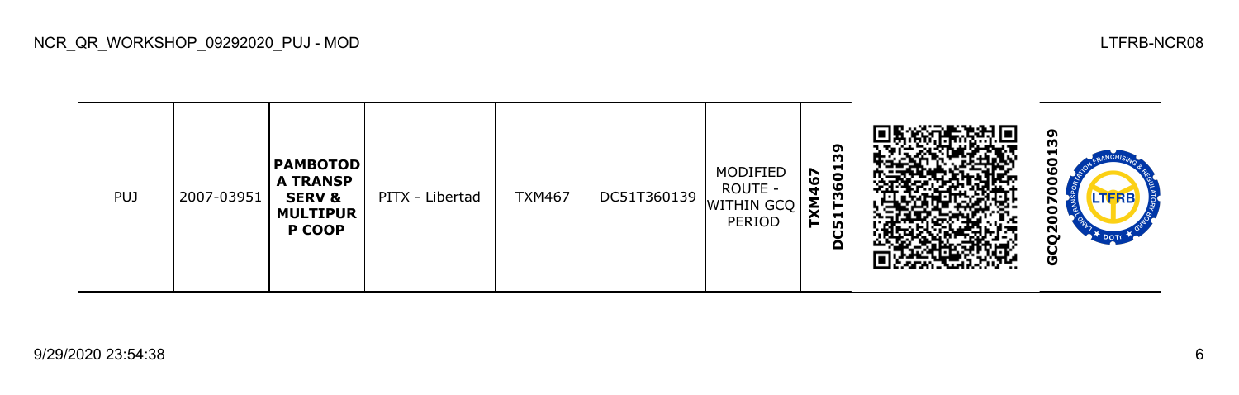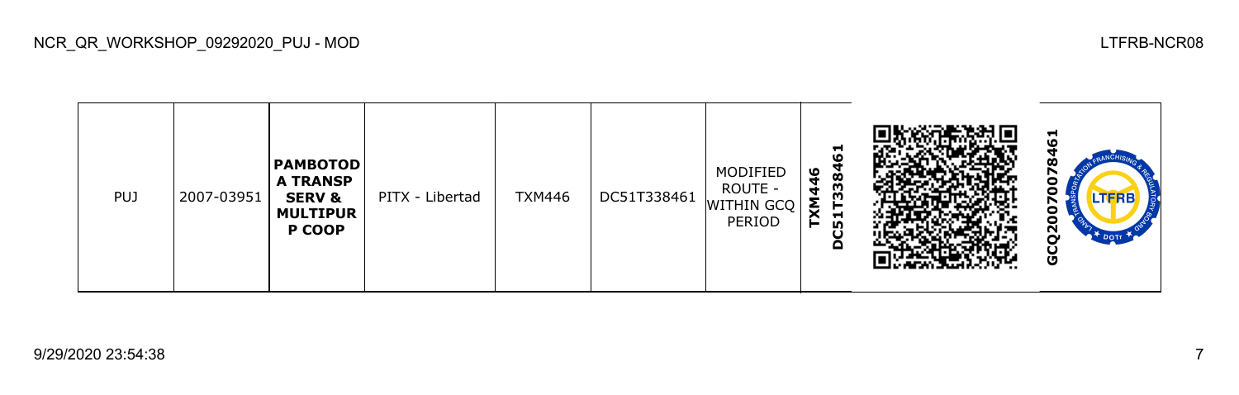**GCQ20070078461PAMBOTOD** MODIFIED **TXM446 DC51T338 A TRANSP**  0 ROUTE c PUJ 2007-03951 PITX - Libertad | TXM446 | DC51T338461 **SERV &**  WITHIN GCQ N 6 **MULTIPUR** PERIOD ⌒ **P COOP** GCQ<sub>2</sub>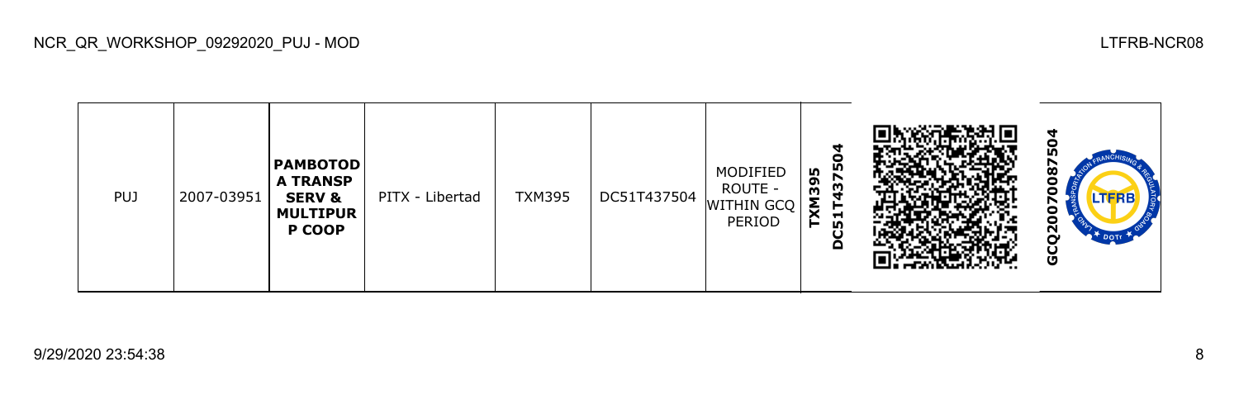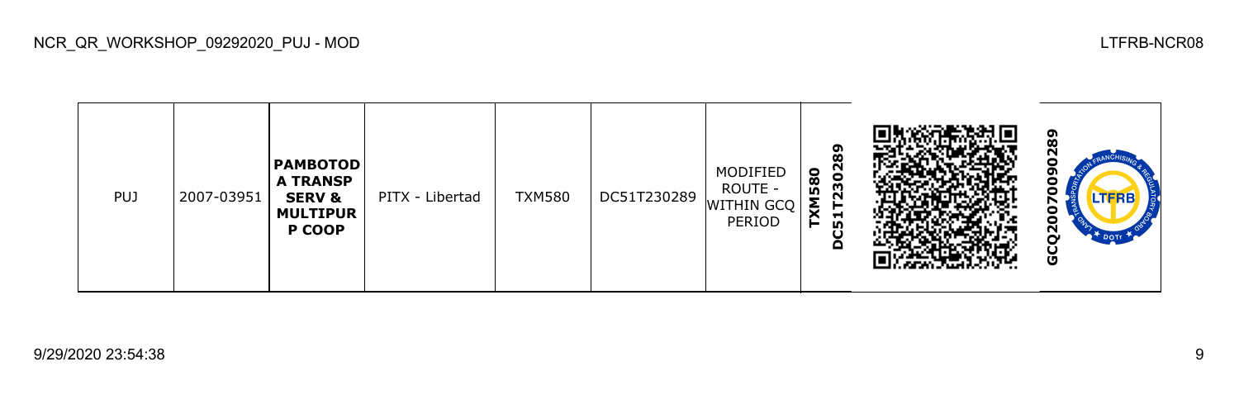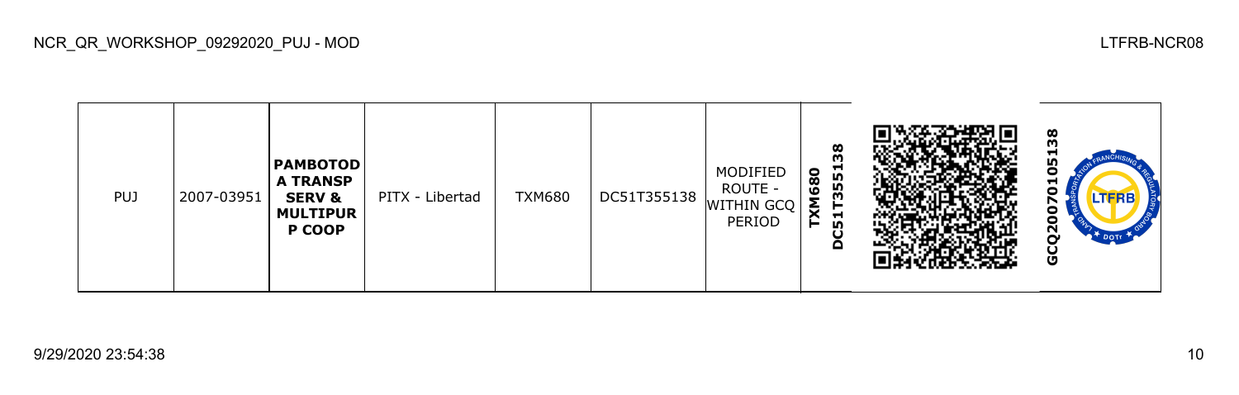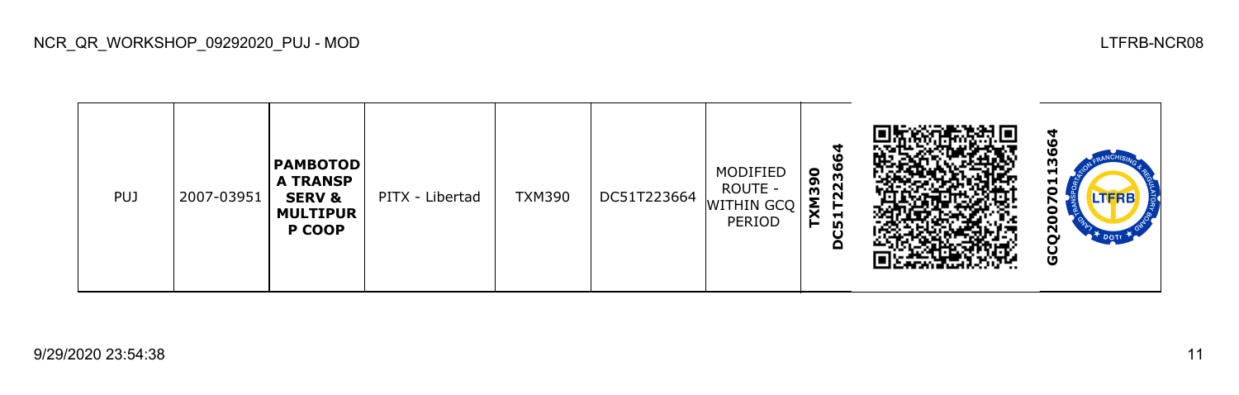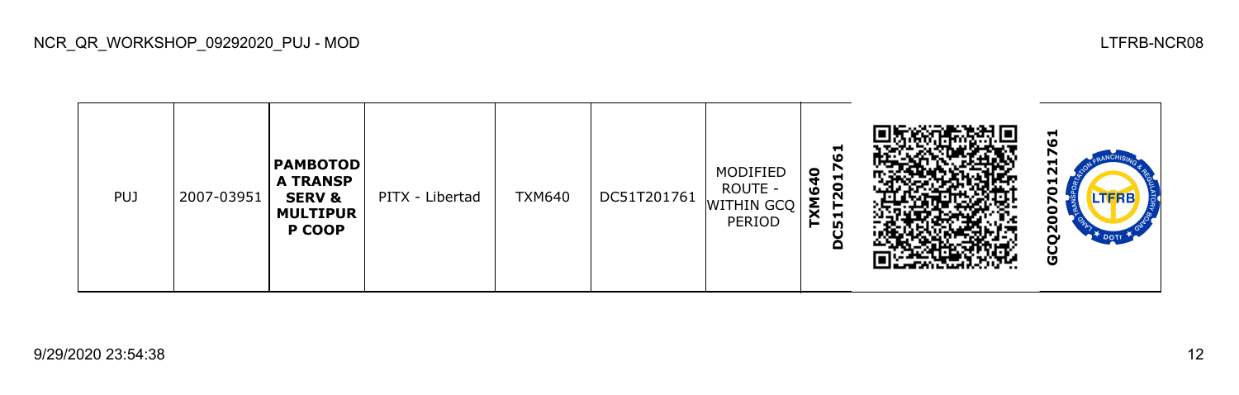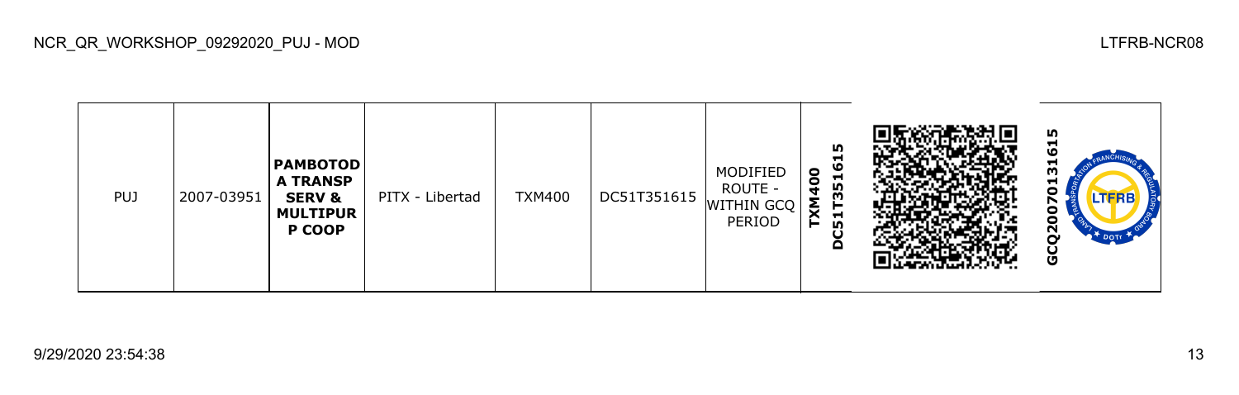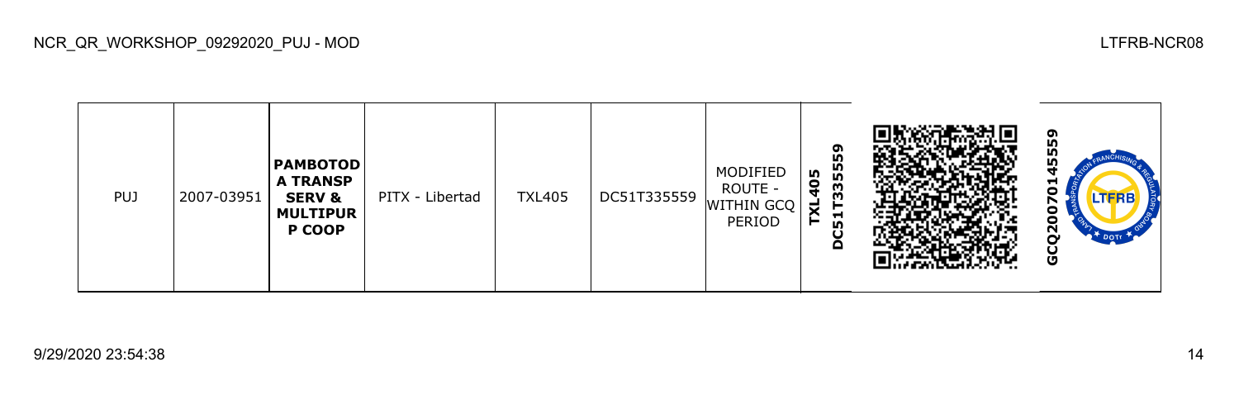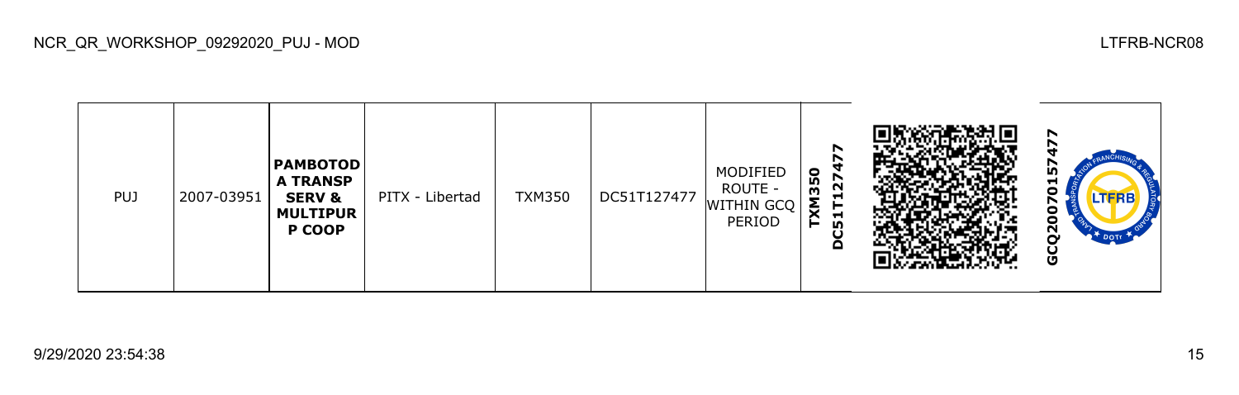